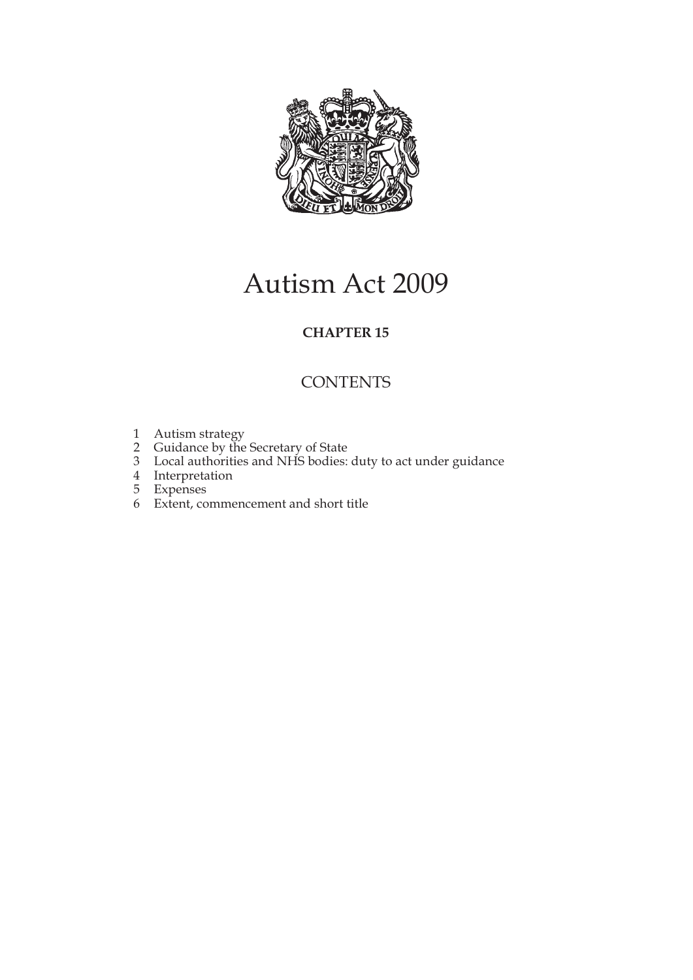

# Autism Act 2009

### **CHAPTER 15**

## **CONTENTS**

- 1 Autism strategy
- 2 Guidance by the Secretary of State
- 3 Local authorities and NHS bodies: duty to act under guidance
- 4 Interpretation
- 5 Expenses
- 6 Extent, commencement and short title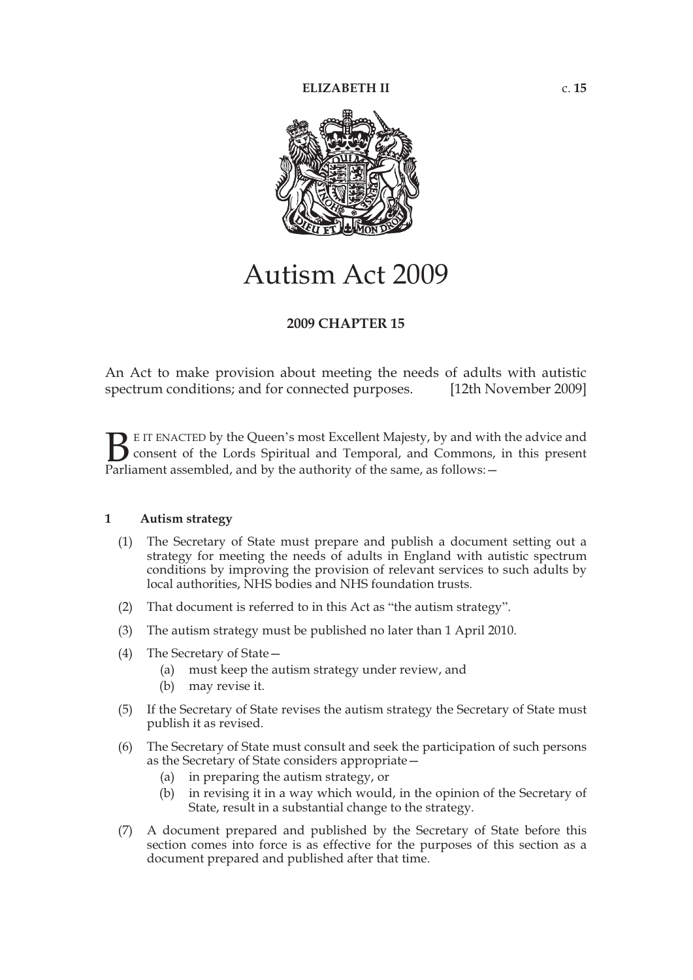

## Autism Act 2009

#### **2009 CHAPTER 15**

An Act to make provision about meeting the needs of adults with autistic spectrum conditions; and for connected purposes. [12th November 2009]

E IT ENACTED by the Queen's most Excellent Majesty, by and with the advice and consent of the Lords Spiritual and Temporal, and Commons, in this present **B** E IT ENACTED by the Queen's most Excellent Majesty, by and with consent of the Lords Spiritual and Temporal, and Commons, Parliament assembled, and by the authority of the same, as follows:  $-$ 

#### **1 Autism strategy**

- (1) The Secretary of State must prepare and publish a document setting out a strategy for meeting the needs of adults in England with autistic spectrum conditions by improving the provision of relevant services to such adults by local authorities, NHS bodies and NHS foundation trusts.
- (2) That document is referred to in this Act as "the autism strategy".
- (3) The autism strategy must be published no later than 1 April 2010.
- (4) The Secretary of State—
	- (a) must keep the autism strategy under review, and
	- (b) may revise it.
- (5) If the Secretary of State revises the autism strategy the Secretary of State must publish it as revised.
- (6) The Secretary of State must consult and seek the participation of such persons as the Secretary of State considers appropriate—
	- (a) in preparing the autism strategy, or
	- (b) in revising it in a way which would, in the opinion of the Secretary of State, result in a substantial change to the strategy.
- (7) A document prepared and published by the Secretary of State before this section comes into force is as effective for the purposes of this section as a document prepared and published after that time.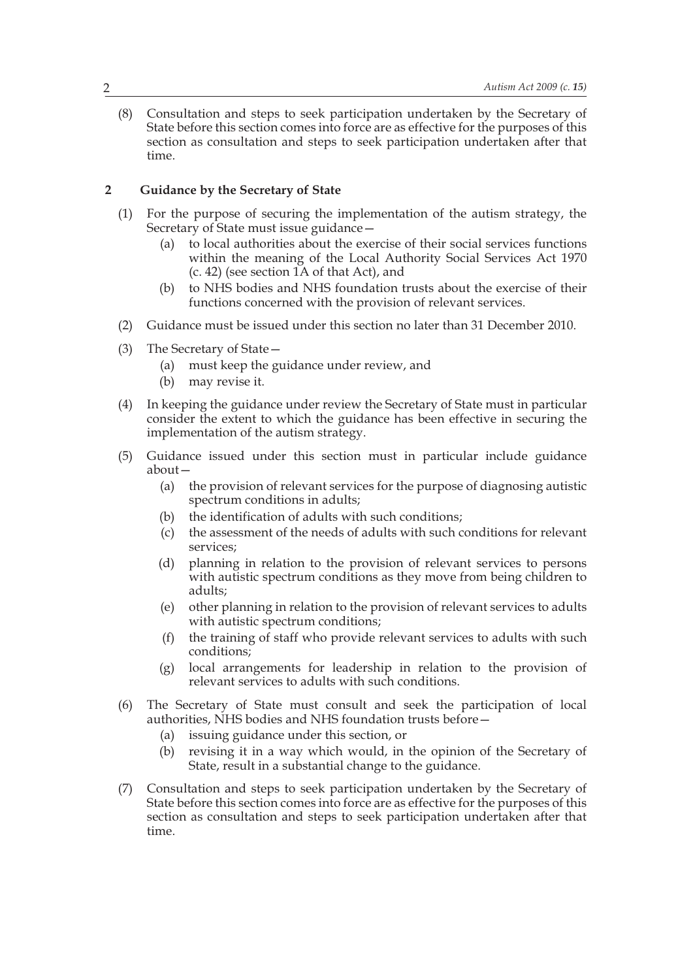(8) Consultation and steps to seek participation undertaken by the Secretary of State before this section comes into force are as effective for the purposes of this section as consultation and steps to seek participation undertaken after that time.

#### **2 Guidance by the Secretary of State**

- (1) For the purpose of securing the implementation of the autism strategy, the Secretary of State must issue guidance—
	- (a) to local authorities about the exercise of their social services functions within the meaning of the Local Authority Social Services Act 1970 (c. 42) (see section 1A of that Act), and
	- (b) to NHS bodies and NHS foundation trusts about the exercise of their functions concerned with the provision of relevant services.
- (2) Guidance must be issued under this section no later than 31 December 2010.
- (3) The Secretary of State—
	- (a) must keep the guidance under review, and
	- (b) may revise it.
- (4) In keeping the guidance under review the Secretary of State must in particular consider the extent to which the guidance has been effective in securing the implementation of the autism strategy.
- (5) Guidance issued under this section must in particular include guidance about—
	- (a) the provision of relevant services for the purpose of diagnosing autistic spectrum conditions in adults;
	- (b) the identification of adults with such conditions;
	- (c) the assessment of the needs of adults with such conditions for relevant services;
	- (d) planning in relation to the provision of relevant services to persons with autistic spectrum conditions as they move from being children to adults;
	- (e) other planning in relation to the provision of relevant services to adults with autistic spectrum conditions;
	- (f) the training of staff who provide relevant services to adults with such conditions;
	- (g) local arrangements for leadership in relation to the provision of relevant services to adults with such conditions.
- (6) The Secretary of State must consult and seek the participation of local authorities, NHS bodies and NHS foundation trusts before—
	- (a) issuing guidance under this section, or
	- (b) revising it in a way which would, in the opinion of the Secretary of State, result in a substantial change to the guidance.
- (7) Consultation and steps to seek participation undertaken by the Secretary of State before this section comes into force are as effective for the purposes of this section as consultation and steps to seek participation undertaken after that time.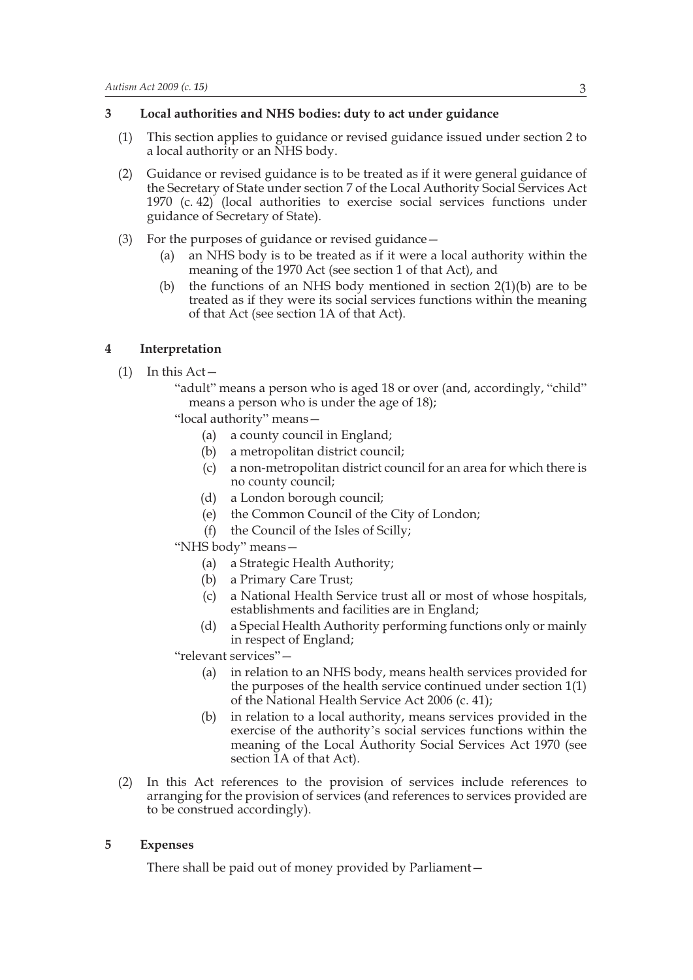#### **3 Local authorities and NHS bodies: duty to act under guidance**

- (1) This section applies to guidance or revised guidance issued under section 2 to a local authority or an NHS body.
- (2) Guidance or revised guidance is to be treated as if it were general guidance of the Secretary of State under section 7 of the Local Authority Social Services Act 1970 (c. 42) (local authorities to exercise social services functions under guidance of Secretary of State).
- (3) For the purposes of guidance or revised guidance—
	- (a) an NHS body is to be treated as if it were a local authority within the meaning of the 1970 Act (see section 1 of that Act), and
	- (b) the functions of an NHS body mentioned in section  $2(1)(b)$  are to be treated as if they were its social services functions within the meaning of that Act (see section 1A of that Act).

#### **4 Interpretation**

 $(1)$  In this Act –

"adult" means a person who is aged 18 or over (and, accordingly, "child" means a person who is under the age of 18);

"local authority" means—

- (a) a county council in England;
- (b) a metropolitan district council;
- (c) a non-metropolitan district council for an area for which there is no county council;
- (d) a London borough council;
- (e) the Common Council of the City of London;
- (f) the Council of the Isles of Scilly;
- "NHS body" means—
	- (a) a Strategic Health Authority;
	- (b) a Primary Care Trust;
	- (c) a National Health Service trust all or most of whose hospitals, establishments and facilities are in England;
	- (d) a Special Health Authority performing functions only or mainly in respect of England;

"relevant services"—

- (a) in relation to an NHS body, means health services provided for the purposes of the health service continued under section 1(1) of the National Health Service Act 2006 (c. 41);
- (b) in relation to a local authority, means services provided in the exercise of the authority's social services functions within the meaning of the Local Authority Social Services Act 1970 (see section  $\tilde{A}$  of that Act).
- (2) In this Act references to the provision of services include references to arranging for the provision of services (and references to services provided are to be construed accordingly).

#### **5 Expenses**

There shall be paid out of money provided by Parliament—